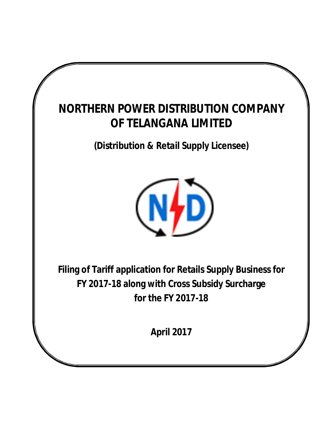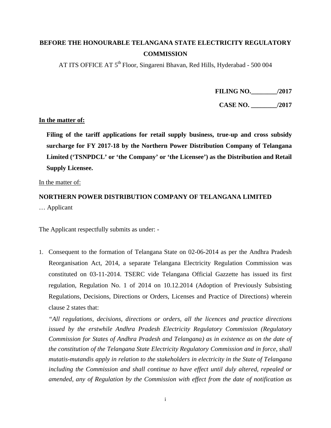# **BEFORE THE HONOURABLE TELANGANA STATE ELECTRICITY REGULATORY COMMISSION**

AT ITS OFFICE AT 5<sup>th</sup> Floor, Singareni Bhavan, Red Hills, Hyderabad - 500 004

**FILING NO.\_\_\_\_\_\_\_\_/2017**

**CASE NO. \_\_\_\_\_\_\_\_/2017**

### **In the matter of:**

**Filing of the tariff applications for retail supply business, true-up and cross subsidy surcharge for FY 2017-18 by the Northern Power Distribution Company of Telangana Limited ('TSNPDCL' or 'the Company' or 'the Licensee') as the Distribution and Retail Supply Licensee.**

In the matter of:

# **NORTHERN POWER DISTRIBUTION COMPANY OF TELANGANA LIMITED** … Applicant

The Applicant respectfully submits as under: -

1. Consequent to the formation of Telangana State on 02-06-2014 as per the Andhra Pradesh Reorganisation Act, 2014, a separate Telangana Electricity Regulation Commission was constituted on 03-11-2014. TSERC vide Telangana Official Gazzette has issued its first regulation, Regulation No. 1 of 2014 on 10.12.2014 (Adoption of Previously Subsisting Regulations, Decisions, Directions or Orders, Licenses and Practice of Directions) wherein clause 2 states that:

*"All regulations, decisions, directions or orders, all the licences and practice directions issued by the erstwhile Andhra Pradesh Electricity Regulatory Commission (Regulatory Commission for States of Andhra Pradesh and Telangana) as in existence as on the date of the constitution of the Telangana State Electricity Regulatory Commission and in force, shall mutatis-mutandis apply in relation to the stakeholders in electricity in the State of Telangana including the Commission and shall continue to have effect until duly altered, repealed or amended, any of Regulation by the Commission with effect from the date of notification as*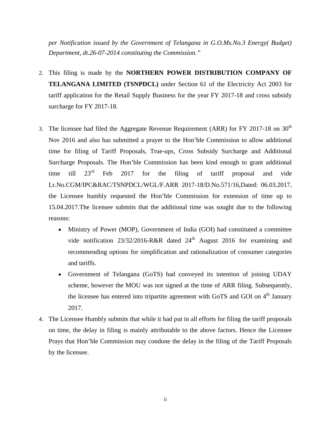*per Notification issued by the Government of Telangana in G.O.Ms.No.3 Energy( Budget) Department, dt.26-07-2014 constituting the Commission."*

- 2. This filing is made by the **NORTHERN POWER DISTRIBUTION COMPANY OF TELANGANA LIMITED (TSNPDCL)** under Section 61 of the Electricity Act 2003 for tariff application for the Retail Supply Business for the year FY 2017-18 and cross subsidy surcharge for FY 2017-18.
- 3. The licensee had filed the Aggregate Revenue Requirement (ARR) for FY 2017-18 on  $30<sup>th</sup>$ Nov 2016 and also has submitted a prayer to the Hon'ble Commission to allow additional time for filing of Tariff Proposals, True-ups, Cross Subsidy Surcharge and Additional Surcharge Proposals. The Hon'ble Commission has been kind enough to grant additional time till  $23^{rd}$  Feb 2017 for the filing of tariff proposal and vide Lr.No.CGM/IPC&RAC/TSNPDCL/WGL/F.ARR 2017-18/D.No.571/16,Dated: 06.03.2017, the Licensee humbly requested the Hon'ble Commission for extension of time up to 15.04.2017.The licensee submits that the additional time was sought due to the following reasons:
	- Ministry of Power (MOP), Government of India (GOI) had constituted a committee vide notification  $23/32/2016-R\&R$  dated  $24<sup>th</sup>$  August 2016 for examining and recommending options for simplification and rationalization of consumer categories and tariffs.
	- Government of Telangana (GoTS) had conveyed its intention of joining UDAY scheme, however the MOU was not signed at the time of ARR filing. Subsequently, the licensee has entered into tripartite agreement with GoTS and GOI on  $4<sup>th</sup>$  January 2017.
- 4. The Licensee Humbly submits that while it had put in all efforts for filing the tariff proposals on time, the delay in filing is mainly attributable to the above factors. Hence the Licensee Prays that Hon'ble Commission may condone the delay in the filing of the Tariff Proposals by the licensee.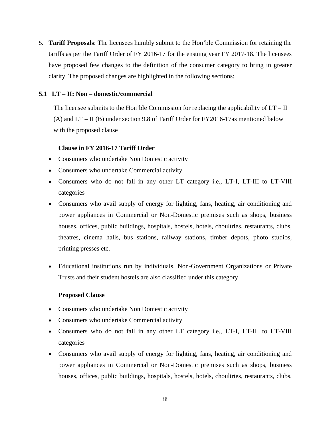5. **Tariff Proposals**: The licensees humbly submit to the Hon'ble Commission for retaining the tariffs as per the Tariff Order of FY 2016-17 for the ensuing year FY 2017-18. The licensees have proposed few changes to the definition of the consumer category to bring in greater clarity. The proposed changes are highlighted in the following sections:

### **5.1 LT – II: Non – domestic/commercial**

The licensee submits to the Hon'ble Commission for replacing the applicability of  $LT - II$ (A) and LT – II (B) under section 9.8 of Tariff Order for FY2016-17as mentioned below with the proposed clause

### **Clause in FY 2016-17 Tariff Order**

- Consumers who undertake Non Domestic activity
- Consumers who undertake Commercial activity
- Consumers who do not fall in any other LT category i.e., LT-I, LT-III to LT-VIII categories
- Consumers who avail supply of energy for lighting, fans, heating, air conditioning and power appliances in Commercial or Non-Domestic premises such as shops, business houses, offices, public buildings, hospitals, hostels, hotels, choultries, restaurants, clubs, theatres, cinema halls, bus stations, railway stations, timber depots, photo studios, printing presses etc.
- Educational institutions run by individuals, Non-Government Organizations or Private Trusts and their student hostels are also classified under this category

### **Proposed Clause**

- Consumers who undertake Non Domestic activity
- Consumers who undertake Commercial activity
- Consumers who do not fall in any other LT category i.e., LT-I, LT-III to LT-VIII categories
- Consumers who avail supply of energy for lighting, fans, heating, air conditioning and power appliances in Commercial or Non-Domestic premises such as shops, business houses, offices, public buildings, hospitals, hostels, hotels, choultries, restaurants, clubs,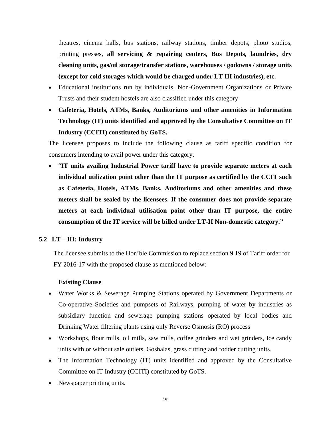theatres, cinema halls, bus stations, railway stations, timber depots, photo studios, printing presses, **all servicing & repairing centers, Bus Depots, laundries, dry cleaning units, gas/oil storage/transfer stations, warehouses / godowns / storage units (except for cold storages which would be charged under LT III industries), etc.**

- Educational institutions run by individuals, Non-Government Organizations or Private Trusts and their student hostels are also classified under this category
- **Cafeteria, Hotels, ATMs, Banks, Auditoriums and other amenities in Information Technology (IT) units identified and approved by the Consultative Committee on IT Industry (CCITI) constituted by GoTS.**

The licensee proposes to include the following clause as tariff specific condition for consumers intending to avail power under this category.

 "**IT units availing Industrial Power tariff have to provide separate meters at each individual utilization point other than the IT purpose as certified by the CCIT such as Cafeteria, Hotels, ATMs, Banks, Auditoriums and other amenities and these meters shall be sealed by the licensees. If the consumer does not provide separate meters at each individual utilisation point other than IT purpose, the entire consumption of the IT service will be billed under LT-II Non-domestic category."**

### **5.2 LT – III: Industry**

The licensee submits to the Hon'ble Commission to replace section 9.19 of Tariff order for FY 2016-17 with the proposed clause as mentioned below:

### **Existing Clause**

- Water Works & Sewerage Pumping Stations operated by Government Departments or Co-operative Societies and pumpsets of Railways, pumping of water by industries as subsidiary function and sewerage pumping stations operated by local bodies and Drinking Water filtering plants using only Reverse Osmosis (RO) process
- Workshops, flour mills, oil mills, saw mills, coffee grinders and wet grinders, Ice candy units with or without sale outlets, Goshalas, grass cutting and fodder cutting units.
- The Information Technology (IT) units identified and approved by the Consultative Committee on IT Industry (CCITI) constituted by GoTS.
- Newspaper printing units.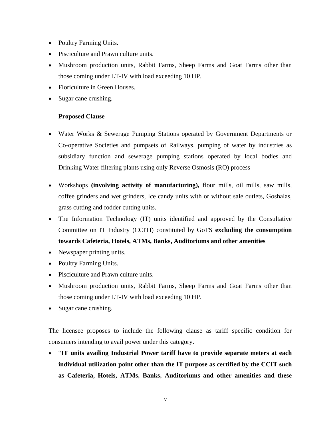- Poultry Farming Units.
- Pisciculture and Prawn culture units.
- Mushroom production units, Rabbit Farms, Sheep Farms and Goat Farms other than those coming under LT-IV with load exceeding 10 HP.
- Floriculture in Green Houses.
- Sugar cane crushing.

## **Proposed Clause**

- Water Works & Sewerage Pumping Stations operated by Government Departments or Co-operative Societies and pumpsets of Railways, pumping of water by industries as subsidiary function and sewerage pumping stations operated by local bodies and Drinking Water filtering plants using only Reverse Osmosis (RO) process
- Workshops **(involving activity of manufacturing),** flour mills, oil mills, saw mills, coffee grinders and wet grinders, Ice candy units with or without sale outlets, Goshalas, grass cutting and fodder cutting units.
- The Information Technology (IT) units identified and approved by the Consultative Committee on IT Industry (CCITI) constituted by GoTS **excluding the consumption towards Cafeteria, Hotels, ATMs, Banks, Auditoriums and other amenities**
- Newspaper printing units.
- Poultry Farming Units.
- Pisciculture and Prawn culture units.
- Mushroom production units, Rabbit Farms, Sheep Farms and Goat Farms other than those coming under LT-IV with load exceeding 10 HP.
- Sugar cane crushing.

The licensee proposes to include the following clause as tariff specific condition for consumers intending to avail power under this category.

 "**IT units availing Industrial Power tariff have to provide separate meters at each individual utilization point other than the IT purpose as certified by the CCIT such as Cafeteria, Hotels, ATMs, Banks, Auditoriums and other amenities and these**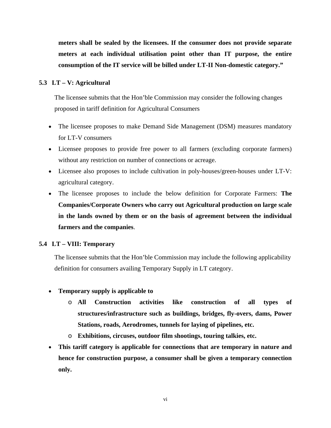**meters shall be sealed by the licensees. If the consumer does not provide separate meters at each individual utilisation point other than IT purpose, the entire consumption of the IT service will be billed under LT-II Non-domestic category."**

### **5.3 LT – V: Agricultural**

The licensee submits that the Hon'ble Commission may consider the following changes proposed in tariff definition for Agricultural Consumers

- The licensee proposes to make Demand Side Management (DSM) measures mandatory for LT-V consumers
- Licensee proposes to provide free power to all farmers (excluding corporate farmers) without any restriction on number of connections or acreage.
- Licensee also proposes to include cultivation in poly-houses/green-houses under LT-V: agricultural category.
- The licensee proposes to include the below definition for Corporate Farmers: **The Companies/Corporate Owners who carry out Agricultural production on large scale in the lands owned by them or on the basis of agreement between the individual farmers and the companies**.

### **5.4 LT – VIII: Temporary**

The licensee submits that the Hon'ble Commission may include the following applicability definition for consumers availing Temporary Supply in LT category.

- **Temporary supply is applicable to** 
	- o **All Construction activities like construction of all types of structures/infrastructure such as buildings, bridges, fly-overs, dams, Power Stations, roads, Aerodromes, tunnels for laying of pipelines, etc.**
	- o **Exhibitions, circuses, outdoor film shootings, touring talkies, etc.**
- **This tariff category is applicable for connections that are temporary in nature and hence for construction purpose, a consumer shall be given a temporary connection only.**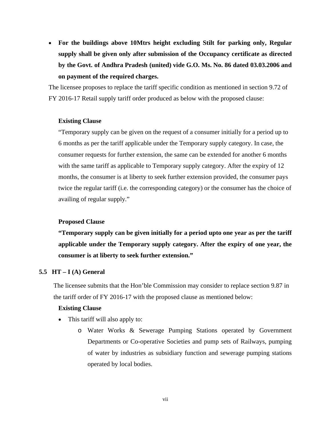**For the buildings above 10Mtrs height excluding Stilt for parking only, Regular supply shall be given only after submission of the Occupancy certificate as directed by the Govt. of Andhra Pradesh (united) vide G.O. Ms. No. 86 dated 03.03.2006 and on payment of the required charges.**

The licensee proposes to replace the tariff specific condition as mentioned in section 9.72 of FY 2016-17 Retail supply tariff order produced as below with the proposed clause:

### **Existing Clause**

"Temporary supply can be given on the request of a consumer initially for a period up to 6 months as per the tariff applicable under the Temporary supply category. In case, the consumer requests for further extension, the same can be extended for another 6 months with the same tariff as applicable to Temporary supply category. After the expiry of 12 months, the consumer is at liberty to seek further extension provided, the consumer pays twice the regular tariff (i.e. the corresponding category) or the consumer has the choice of availing of regular supply."

### **Proposed Clause**

**"Temporary supply can be given initially for a period upto one year as per the tariff applicable under the Temporary supply category. After the expiry of one year, the consumer is at liberty to seek further extension."**

### **5.5 HT – I (A) General**

The licensee submits that the Hon'ble Commission may consider to replace section 9.87 in the tariff order of FY 2016-17 with the proposed clause as mentioned below:

### **Existing Clause**

- This tariff will also apply to:
	- o Water Works & Sewerage Pumping Stations operated by Government Departments or Co-operative Societies and pump sets of Railways, pumping of water by industries as subsidiary function and sewerage pumping stations operated by local bodies.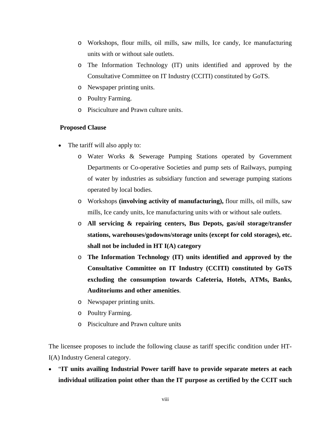- o Workshops, flour mills, oil mills, saw mills, Ice candy, Ice manufacturing units with or without sale outlets.
- o The Information Technology (IT) units identified and approved by the Consultative Committee on IT Industry (CCITI) constituted by GoTS.
- o Newspaper printing units.
- o Poultry Farming.
- o Pisciculture and Prawn culture units.

## **Proposed Clause**

- The tariff will also apply to:
	- o Water Works & Sewerage Pumping Stations operated by Government Departments or Co-operative Societies and pump sets of Railways, pumping of water by industries as subsidiary function and sewerage pumping stations operated by local bodies.
	- o Workshops **(involving activity of manufacturing),** flour mills, oil mills, saw mills, Ice candy units, Ice manufacturing units with or without sale outlets.
	- o **All servicing & repairing centers, Bus Depots, gas/oil storage/transfer stations, warehouses/godowns/storage units (except for cold storages), etc. shall not be included in HT I(A) category**
	- o **The Information Technology (IT) units identified and approved by the Consultative Committee on IT Industry (CCITI) constituted by GoTS excluding the consumption towards Cafeteria, Hotels, ATMs, Banks, Auditoriums and other amenities**.
	- o Newspaper printing units.
	- o Poultry Farming.
	- o Pisciculture and Prawn culture units

The licensee proposes to include the following clause as tariff specific condition under HT-I(A) Industry General category.

 "**IT units availing Industrial Power tariff have to provide separate meters at each individual utilization point other than the IT purpose as certified by the CCIT such**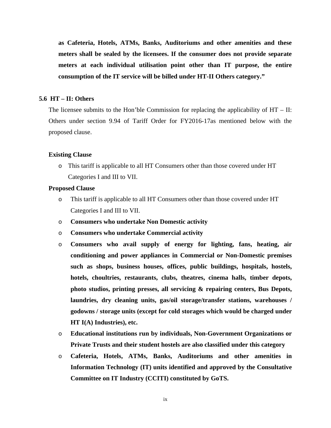**as Cafeteria, Hotels, ATMs, Banks, Auditoriums and other amenities and these meters shall be sealed by the licensees. If the consumer does not provide separate meters at each individual utilisation point other than IT purpose, the entire consumption of the IT service will be billed under HT-II Others category."**

### **5.6 HT – II: Others**

The licensee submits to the Hon'ble Commission for replacing the applicability of  $HT - II$ : Others under section 9.94 of Tariff Order for FY2016-17as mentioned below with the proposed clause.

### **Existing Clause**

o This tariff is applicable to all HT Consumers other than those covered under HT Categories I and III to VII.

### **Proposed Clause**

- o This tariff is applicable to all HT Consumers other than those covered under HT Categories I and III to VII.
- o **Consumers who undertake Non Domestic activity**
- o **Consumers who undertake Commercial activity**
- o **Consumers who avail supply of energy for lighting, fans, heating, air conditioning and power appliances in Commercial or Non-Domestic premises such as shops, business houses, offices, public buildings, hospitals, hostels, hotels, choultries, restaurants, clubs, theatres, cinema halls, timber depots, photo studios, printing presses, all servicing & repairing centers, Bus Depots, laundries, dry cleaning units, gas/oil storage/transfer stations, warehouses / godowns / storage units (except for cold storages which would be charged under HT I(A) Industries), etc.**
- o **Educational institutions run by individuals, Non-Government Organizations or Private Trusts and their student hostels are also classified under this category**
- o **Cafeteria, Hotels, ATMs, Banks, Auditoriums and other amenities in Information Technology (IT) units identified and approved by the Consultative Committee on IT Industry (CCITI) constituted by GoTS.**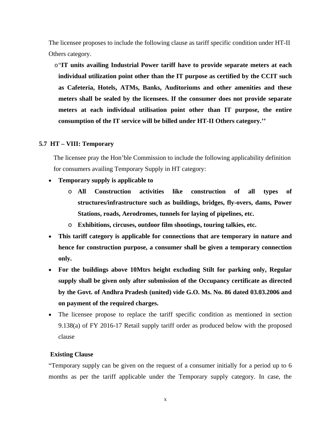The licensee proposes to include the following clause as tariff specific condition under HT-II Others category.

o"**IT units availing Industrial Power tariff have to provide separate meters at each individual utilization point other than the IT purpose as certified by the CCIT such as Cafeteria, Hotels, ATMs, Banks, Auditoriums and other amenities and these meters shall be sealed by the licensees. If the consumer does not provide separate meters at each individual utilisation point other than IT purpose, the entire consumption of the IT service will be billed under HT-II Others category.''**

## **5.7 HT – VIII: Temporary**

The licensee pray the Hon'ble Commission to include the following applicability definition for consumers availing Temporary Supply in HT category:

- **Temporary supply is applicable to** 
	- o **All Construction activities like construction of all types of structures/infrastructure such as buildings, bridges, fly-overs, dams, Power Stations, roads, Aerodromes, tunnels for laying of pipelines, etc.**
	- o **Exhibitions, circuses, outdoor film shootings, touring talkies, etc.**
- **This tariff category is applicable for connections that are temporary in nature and hence for construction purpose, a consumer shall be given a temporary connection only.**
- **For the buildings above 10Mtrs height excluding Stilt for parking only, Regular supply shall be given only after submission of the Occupancy certificate as directed by the Govt. of Andhra Pradesh (united) vide G.O. Ms. No. 86 dated 03.03.2006 and on payment of the required charges.**
- The licensee propose to replace the tariff specific condition as mentioned in section 9.138(a) of FY 2016-17 Retail supply tariff order as produced below with the proposed clause

### **Existing Clause**

"Temporary supply can be given on the request of a consumer initially for a period up to 6 months as per the tariff applicable under the Temporary supply category. In case, the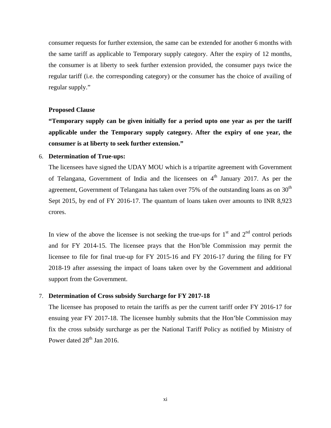consumer requests for further extension, the same can be extended for another 6 months with the same tariff as applicable to Temporary supply category. After the expiry of 12 months, the consumer is at liberty to seek further extension provided, the consumer pays twice the regular tariff (i.e. the corresponding category) or the consumer has the choice of availing of regular supply."

### **Proposed Clause**

**"Temporary supply can be given initially for a period upto one year as per the tariff applicable under the Temporary supply category. After the expiry of one year, the consumer is at liberty to seek further extension."**

### 6. **Determination of True-ups:**

The licensees have signed the UDAY MOU which is a tripartite agreement with Government of Telangana, Government of India and the licensees on  $4<sup>th</sup>$  January 2017. As per the agreement, Government of Telangana has taken over 75% of the outstanding loans as on  $30<sup>th</sup>$ Sept 2015, by end of FY 2016-17. The quantum of loans taken over amounts to INR 8,923 crores.

In view of the above the licensee is not seeking the true-ups for  $1<sup>st</sup>$  and  $2<sup>nd</sup>$  control periods and for FY 2014-15. The licensee prays that the Hon'ble Commission may permit the licensee to file for final true-up for FY 2015-16 and FY 2016-17 during the filing for FY 2018-19 after assessing the impact of loans taken over by the Government and additional support from the Government.

### 7. **Determination of Cross subsidy Surcharge for FY 2017-18**

The licensee has proposed to retain the tariffs as per the current tariff order FY 2016-17 for ensuing year FY 2017-18. The licensee humbly submits that the Hon'ble Commission may fix the cross subsidy surcharge as per the National Tariff Policy as notified by Ministry of Power dated  $28<sup>th</sup>$  Jan 2016.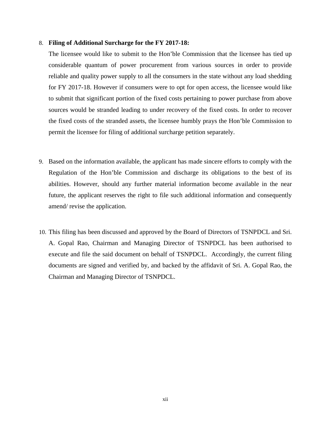### 8. **Filing of Additional Surcharge for the FY 2017-18:**

The licensee would like to submit to the Hon'ble Commission that the licensee has tied up considerable quantum of power procurement from various sources in order to provide reliable and quality power supply to all the consumers in the state without any load shedding for FY 2017-18. However if consumers were to opt for open access, the licensee would like to submit that significant portion of the fixed costs pertaining to power purchase from above sources would be stranded leading to under recovery of the fixed costs. In order to recover the fixed costs of the stranded assets, the licensee humbly prays the Hon'ble Commission to permit the licensee for filing of additional surcharge petition separately.

- 9. Based on the information available, the applicant has made sincere efforts to comply with the Regulation of the Hon'ble Commission and discharge its obligations to the best of its abilities. However, should any further material information become available in the near future, the applicant reserves the right to file such additional information and consequently amend/ revise the application.
- 10. This filing has been discussed and approved by the Board of Directors of TSNPDCL and Sri. A. Gopal Rao, Chairman and Managing Director of TSNPDCL has been authorised to execute and file the said document on behalf of TSNPDCL. Accordingly, the current filing documents are signed and verified by, and backed by the affidavit of Sri. A. Gopal Rao, the Chairman and Managing Director of TSNPDCL.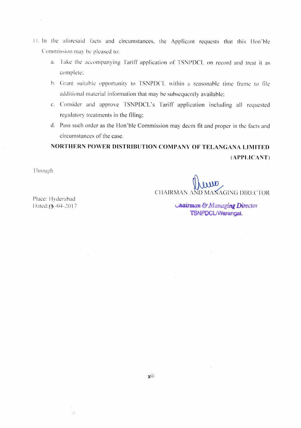- II. In the aforesaid facts and circumstances, the Applicant requests that this Hon'ble Commission may be pleased to:
	- a. Take the accompanying Tariff application of TSNPDCL on record and treat it as complete:
	- b. Grant suitable opportunity to TSNPDCL within a reasonable time frame to file additional material information that may be subsequently available;
	- c. Consider and approve TSNPDCL's Tariff application including all requested regulatory treatments in the filing:
	- d. Pass such order as the Hon'ble Commission may deem fit and proper in the facts and circumstances of the case.

# NORTHERN POWER DISTRIBUTION COMPANY OF TELANGANA LIMITED (APPI,ICANT)

**Through** 

CHAIRMAN AND MANAGING DIRECTOR

Place: Hyderabad Dated:13-04-2017

TSNPDCL/Warangal. Unairman & Managing Director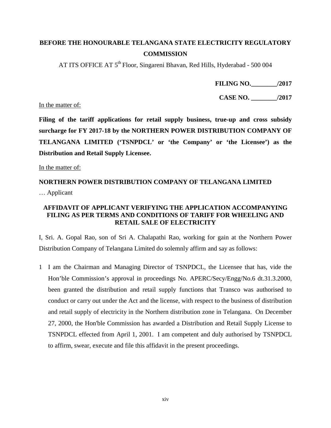# **BEFORE THE HONOURABLE TELANGANA STATE ELECTRICITY REGULATORY COMMISSION**

AT ITS OFFICE AT 5<sup>th</sup> Floor, Singareni Bhavan, Red Hills, Hyderabad - 500 004

**FILING NO.\_\_\_\_\_\_\_\_/2017**

**CASE NO. \_\_\_\_\_\_\_\_/2017**

In the matter of:

**Filing of the tariff applications for retail supply business, true-up and cross subsidy surcharge for FY 2017-18 by the NORTHERN POWER DISTRIBUTION COMPANY OF TELANGANA LIMITED ('TSNPDCL' or 'the Company' or 'the Licensee') as the Distribution and Retail Supply Licensee.**

In the matter of:

# **NORTHERN POWER DISTRIBUTION COMPANY OF TELANGANA LIMITED**  … Applicant

## **AFFIDAVIT OF APPLICANT VERIFYING THE APPLICATION ACCOMPANYING FILING AS PER TERMS AND CONDITIONS OF TARIFF FOR WHEELING AND RETAIL SALE OF ELECTRICITY**

I, Sri. A. Gopal Rao, son of Sri A. Chalapathi Rao, working for gain at the Northern Power Distribution Company of Telangana Limited do solemnly affirm and say as follows:

1 I am the Chairman and Managing Director of TSNPDCL, the Licensee that has, vide the Hon'ble Commission's approval in proceedings No. APERC/Secy/Engg/No.6 dt.31.3.2000, been granted the distribution and retail supply functions that Transco was authorised to conduct or carry out under the Act and the license, with respect to the business of distribution and retail supply of electricity in the Northern distribution zone in Telangana. On December 27, 2000, the Hon'ble Commission has awarded a Distribution and Retail Supply License to TSNPDCL effected from April 1, 2001. I am competent and duly authorised by TSNPDCL to affirm, swear, execute and file this affidavit in the present proceedings.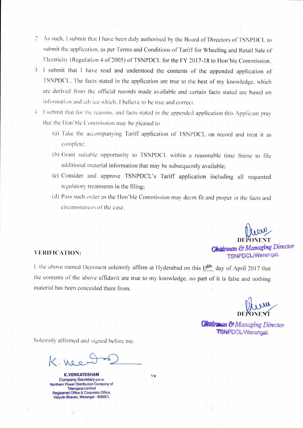- $\overline{2}$ As such, I submit that I have been duly authorised by the Board of Directors of TSNPDCL to submit the application, as per Terms and Conditions of Tariff for Wheeling and Retail Sale of Electricity (Regulation 4 of 2005) of TSNPDCL for the FY 2017-18 to Hon'ble Commission.
- I submit that I have read and understood the contents of the appended application of 3 TSNPDCL. The facts stated in the application are true to the best of my knowledge, which are derived from the official records made available and certain facts stated are based on information and advice which. I believe to be true and correct.
- I submit that for the reasons, and facts stated in the appended application this Applicant pray  $\overline{4}$ that the Hon'ble Commission may be pleased to
	- (a) Take the accompanying Tariff application of TSNPDCL on record and treat it as complete:
	- (b) Grant suitable opportunity to TSNPDCL within a reasonable time frame to file additional material information that may be subsequently available;
	- (c) Consider and approve TSNPDCL's Tariff application including all requested regulatory treatments in the filing;
	- (d) Pass such order as the Hon'ble Commission may deem fit and proper in the facts and circumstances of the case.

CIrrry. DEPONENT **Chairman & Managing Director** TSNPDOL/Warangal'

### VERIFICATION:

.

I. the above named Deponent solemnly affirm at Hyderabad on this 13th day of April 2017 that the contents of the above affidavit are true to my knowledge, no part of it is false and nothing material has been concealed there from.

**Girliman & Managing Director** TSNPDCL/Warangal.

Solemnly affirmed and signed before me.

K. nee

K.VENKATESHAM Company Secretary (GR-II) Northern Power Distribution Company of Telangana Limited Registered Office & Corporate Office, Vidyuth Bhavan, Warangal - 506001.

 $\frac{1}{2\pi}$ 

 $\bar{X}$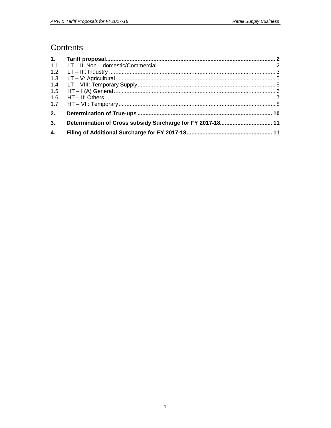# Contents

| 1.1 |                                                            |  |
|-----|------------------------------------------------------------|--|
| 1.2 |                                                            |  |
| 1.3 |                                                            |  |
| 1.4 |                                                            |  |
| 1.5 |                                                            |  |
| 1.6 |                                                            |  |
| 1.7 |                                                            |  |
| 2.  |                                                            |  |
| 3.  | Determination of Cross subsidy Surcharge for FY 2017-18 11 |  |
| 4.  |                                                            |  |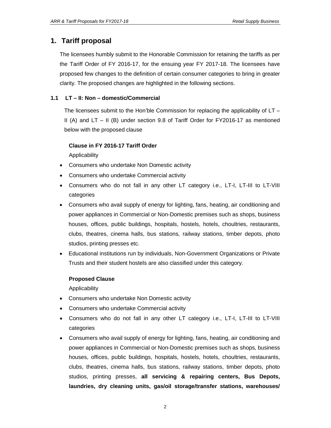## **1. Tariff proposal**

The licensees humbly submit to the Honorable Commission for retaining the tariffs as per the Tariff Order of FY 2016-17, for the ensuing year FY 2017-18. The licensees have proposed few changes to the definition of certain consumer categories to bring in greater clarity. The proposed changes are highlighted in the following sections.

### **1.1 LT – II: Non – domestic/Commercial**

The licensees submit to the Hon'ble Commission for replacing the applicability of  $LT -$ II (A) and LT – II (B) under section 9.8 of Tariff Order for FY2016-17 as mentioned below with the proposed clause

### **Clause in FY 2016-17 Tariff Order**

Applicability

- Consumers who undertake Non Domestic activity
- Consumers who undertake Commercial activity
- Consumers who do not fall in any other LT category i.e., LT-I, LT-III to LT-VIII categories
- Consumers who avail supply of energy for lighting, fans, heating, air conditioning and power appliances in Commercial or Non-Domestic premises such as shops, business houses, offices, public buildings, hospitals, hostels, hotels, choultries, restaurants, clubs, theatres, cinema halls, bus stations, railway stations, timber depots, photo studios, printing presses etc.
- Educational institutions run by individuals, Non-Government Organizations or Private Trusts and their student hostels are also classified under this category.

### **Proposed Clause**

Applicability

- Consumers who undertake Non Domestic activity
- Consumers who undertake Commercial activity
- Consumers who do not fall in any other LT category i.e., LT-I, LT-III to LT-VIII categories
- Consumers who avail supply of energy for lighting, fans, heating, air conditioning and power appliances in Commercial or Non-Domestic premises such as shops, business houses, offices, public buildings, hospitals, hostels, hotels, choultries, restaurants, clubs, theatres, cinema halls, bus stations, railway stations, timber depots, photo studios, printing presses, **all servicing & repairing centers, Bus Depots, laundries, dry cleaning units, gas/oil storage/transfer stations, warehouses/**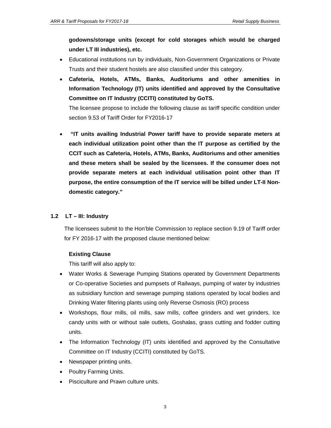**godowns/storage units (except for cold storages which would be charged under LT III industries), etc.**

- Educational institutions run by individuals, Non-Government Organizations or Private Trusts and their student hostels are also classified under this category.
- **Cafeteria, Hotels, ATMs, Banks, Auditoriums and other amenities in Information Technology (IT) units identified and approved by the Consultative Committee on IT Industry (CCITI) constituted by GoTS.**

The licensee propose to include the following clause as tariff specific condition under section 9.53 of Tariff Order for FY2016-17

 **"IT units availing Industrial Power tariff have to provide separate meters at each individual utilization point other than the IT purpose as certified by the CCIT such as Cafeteria, Hotels, ATMs, Banks, Auditoriums and other amenities and these meters shall be sealed by the licensees. If the consumer does not provide separate meters at each individual utilisation point other than IT purpose, the entire consumption of the IT service will be billed under LT-II Nondomestic category."**

### **1.2 LT – III: Industry**

The licensees submit to the Hon'ble Commission to replace section 9.19 of Tariff order for FY 2016-17 with the proposed clause mentioned below:

### **Existing Clause**

This tariff will also apply to:

- Water Works & Sewerage Pumping Stations operated by Government Departments or Co-operative Societies and pumpsets of Railways, pumping of water by industries as subsidiary function and sewerage pumping stations operated by local bodies and Drinking Water filtering plants using only Reverse Osmosis (RO) process
- Workshops, flour mills, oil mills, saw mills, coffee grinders and wet grinders, Ice candy units with or without sale outlets, Goshalas, grass cutting and fodder cutting units.
- The Information Technology (IT) units identified and approved by the Consultative Committee on IT Industry (CCITI) constituted by GoTS.
- Newspaper printing units.
- Poultry Farming Units.
- Pisciculture and Prawn culture units.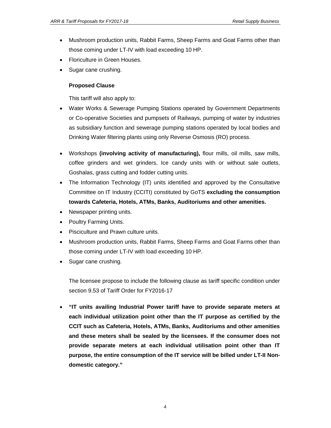- Mushroom production units, Rabbit Farms, Sheep Farms and Goat Farms other than those coming under LT-IV with load exceeding 10 HP.
- Floriculture in Green Houses.
- Sugar cane crushing.

### **Proposed Clause**

This tariff will also apply to:

- Water Works & Sewerage Pumping Stations operated by Government Departments or Co-operative Societies and pumpsets of Railways, pumping of water by industries as subsidiary function and sewerage pumping stations operated by local bodies and Drinking Water filtering plants using only Reverse Osmosis (RO) process.
- Workshops **(involving activity of manufacturing),** flour mills, oil mills, saw mills, coffee grinders and wet grinders, Ice candy units with or without sale outlets, Goshalas, grass cutting and fodder cutting units.
- The Information Technology (IT) units identified and approved by the Consultative Committee on IT Industry (CCITI) constituted by GoTS **excluding the consumption towards Cafeteria, Hotels, ATMs, Banks, Auditoriums and other amenities.**
- Newspaper printing units.
- Poultry Farming Units.
- Pisciculture and Prawn culture units.
- Mushroom production units, Rabbit Farms, Sheep Farms and Goat Farms other than those coming under LT-IV with load exceeding 10 HP.
- Sugar cane crushing.

The licensee propose to include the following clause as tariff specific condition under section 9.53 of Tariff Order for FY2016-17

 **"IT units availing Industrial Power tariff have to provide separate meters at each individual utilization point other than the IT purpose as certified by the CCIT such as Cafeteria, Hotels, ATMs, Banks, Auditoriums and other amenities and these meters shall be sealed by the licensees. If the consumer does not provide separate meters at each individual utilisation point other than IT purpose, the entire consumption of the IT service will be billed under LT-II Nondomestic category."**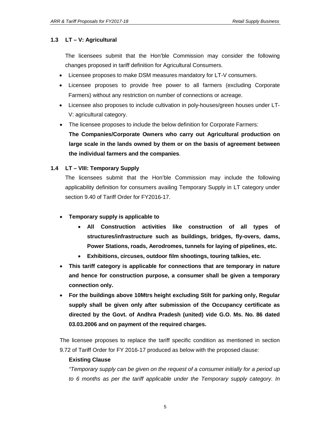### **1.3 LT – V: Agricultural**

The licensees submit that the Hon'ble Commission may consider the following changes proposed in tariff definition for Agricultural Consumers.

- Licensee proposes to make DSM measures mandatory for LT-V consumers.
- Licensee proposes to provide free power to all farmers (excluding Corporate Farmers) without any restriction on number of connections or acreage.
- Licensee also proposes to include cultivation in poly-houses/green houses under LT-V: agricultural category.
- The licensee proposes to include the below definition for Corporate Farmers:

**The Companies/Corporate Owners who carry out Agricultural production on large scale in the lands owned by them or on the basis of agreement between the individual farmers and the companies**.

### **1.4 LT – VIII: Temporary Supply**

The licensees submit that the Hon'ble Commission may include the following applicability definition for consumers availing Temporary Supply in LT category under section 9.40 of Tariff Order for FY2016-17.

### **Temporary supply is applicable to**

- **All Construction activities like construction of all types of structures/infrastructure such as buildings, bridges, fly-overs, dams, Power Stations, roads, Aerodromes, tunnels for laying of pipelines, etc.**
- **Exhibitions, circuses, outdoor film shootings, touring talkies, etc.**
- **This tariff category is applicable for connections that are temporary in nature and hence for construction purpose, a consumer shall be given a temporary connection only.**
- **For the buildings above 10Mtrs height excluding Stilt for parking only, Regular supply shall be given only after submission of the Occupancy certificate as directed by the Govt. of Andhra Pradesh (united) vide G.O. Ms. No. 86 dated 03.03.2006 and on payment of the required charges.**

The licensee proposes to replace the tariff specific condition as mentioned in section 9.72 of Tariff Order for FY 2016-17 produced as below with the proposed clause:

### **Existing Clause**

*"Temporary supply can be given on the request of a consumer initially for a period up to 6 months as per the tariff applicable under the Temporary supply category. In*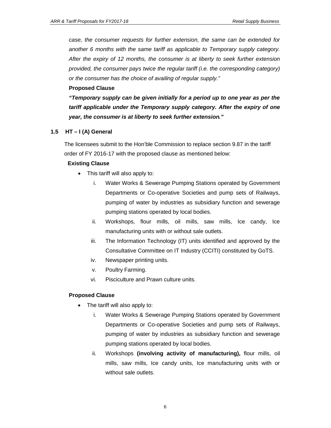*case, the consumer requests for further extension, the same can be extended for another 6 months with the same tariff as applicable to Temporary supply category. After the expiry of 12 months, the consumer is at liberty to seek further extension provided, the consumer pays twice the regular tariff (i.e. the corresponding category) or the consumer has the choice of availing of regular supply."*

### **Proposed Clause**

*"Temporary supply can be given initially for a period up to one year as per the tariff applicable under the Temporary supply category. After the expiry of one year, the consumer is at liberty to seek further extension."*

### **1.5 HT – I (A) General**

The licensees submit to the Hon'ble Commission to replace section 9.87 in the tariff order of FY 2016-17 with the proposed clause as mentioned below:

### **Existing Clause**

- This tariff will also apply to:
	- i. Water Works & Sewerage Pumping Stations operated by Government Departments or Co-operative Societies and pump sets of Railways, pumping of water by industries as subsidiary function and sewerage pumping stations operated by local bodies.
	- ii. Workshops, flour mills, oil mills, saw mills, Ice candy, Ice manufacturing units with or without sale outlets.
	- iii. The Information Technology (IT) units identified and approved by the Consultative Committee on IT Industry (CCITI) constituted by GoTS.
	- iv. Newspaper printing units.
	- v. Poultry Farming.
	- vi. Pisciculture and Prawn culture units.

### **Proposed Clause**

- The tariff will also apply to:
	- i. Water Works & Sewerage Pumping Stations operated by Government Departments or Co-operative Societies and pump sets of Railways, pumping of water by industries as subsidiary function and sewerage pumping stations operated by local bodies.
	- ii. Workshops **(involving activity of manufacturing),** flour mills, oil mills, saw mills, Ice candy units, Ice manufacturing units with or without sale outlets.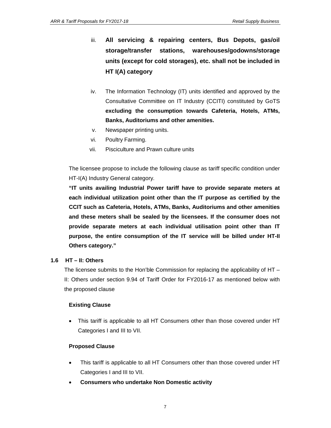- iii. **All servicing & repairing centers, Bus Depots, gas/oil storage/transfer stations, warehouses/godowns/storage units (except for cold storages), etc. shall not be included in HT I(A) category**
- iv. The Information Technology (IT) units identified and approved by the Consultative Committee on IT Industry (CCITI) constituted by GoTS **excluding the consumption towards Cafeteria, Hotels, ATMs, Banks, Auditoriums and other amenities.**
- v. Newspaper printing units.
- vi. Poultry Farming.
- vii. Pisciculture and Prawn culture units

The licensee propose to include the following clause as tariff specific condition under HT-I(A) Industry General category.

**"IT units availing Industrial Power tariff have to provide separate meters at each individual utilization point other than the IT purpose as certified by the CCIT such as Cafeteria, Hotels, ATMs, Banks, Auditoriums and other amenities and these meters shall be sealed by the licensees. If the consumer does not provide separate meters at each individual utilisation point other than IT purpose, the entire consumption of the IT service will be billed under HT-II Others category."**

### **1.6 HT – II: Others**

The licensee submits to the Hon'ble Commission for replacing the applicability of HT – II: Others under section 9.94 of Tariff Order for FY2016-17 as mentioned below with the proposed clause

### **Existing Clause**

 This tariff is applicable to all HT Consumers other than those covered under HT Categories I and III to VII.

### **Proposed Clause**

- This tariff is applicable to all HT Consumers other than those covered under HT Categories I and III to VII.
- **Consumers who undertake Non Domestic activity**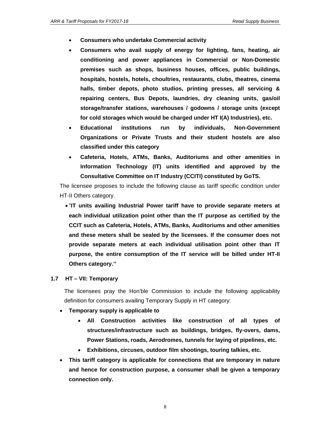- **Consumers who undertake Commercial activity**
- **Consumers who avail supply of energy for lighting, fans, heating, air conditioning and power appliances in Commercial or Non-Domestic premises such as shops, business houses, offices, public buildings, hospitals, hostels, hotels, choultries, restaurants, clubs, theatres, cinema halls, timber depots, photo studios, printing presses, all servicing & repairing centers, Bus Depots, laundries, dry cleaning units, gas/oil storage/transfer stations, warehouses / godowns / storage units (except for cold storages which would be charged under HT I(A) Industries), etc.**
- **Educational institutions run by individuals, Non-Government Organizations or Private Trusts and their student hostels are also classified under this category**
- **Cafeteria, Hotels, ATMs, Banks, Auditoriums and other amenities in Information Technology (IT) units identified and approved by the Consultative Committee on IT Industry (CCITI) constituted by GoTS.**

The licensee proposes to include the following clause as tariff specific condition under HT-II Others category.

 "**IT units availing Industrial Power tariff have to provide separate meters at each individual utilization point other than the IT purpose as certified by the CCIT such as Cafeteria, Hotels, ATMs, Banks, Auditoriums and other amenities and these meters shall be sealed by the licensees. If the consumer does not provide separate meters at each individual utilisation point other than IT purpose, the entire consumption of the IT service will be billed under HT-II Others category.''**

### **1.7 HT – VII: Temporary**

The licensees pray the Hon'ble Commission to include the following applicability definition for consumers availing Temporary Supply in HT category:

- **Temporary supply is applicable to** 
	- **All Construction activities like construction of all types of structures/infrastructure such as buildings, bridges, fly-overs, dams, Power Stations, roads, Aerodromes, tunnels for laying of pipelines, etc.**
	- **Exhibitions, circuses, outdoor film shootings, touring talkies, etc.**
- **This tariff category is applicable for connections that are temporary in nature and hence for construction purpose, a consumer shall be given a temporary connection only.**

8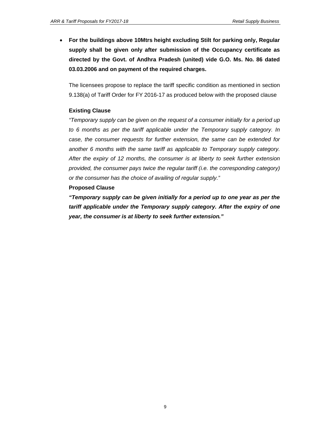**For the buildings above 10Mtrs height excluding Stilt for parking only, Regular supply shall be given only after submission of the Occupancy certificate as directed by the Govt. of Andhra Pradesh (united) vide G.O. Ms. No. 86 dated 03.03.2006 and on payment of the required charges.**

The licensees propose to replace the tariff specific condition as mentioned in section 9.138(a) of Tariff Order for FY 2016-17 as produced below with the proposed clause

### **Existing Clause**

*"Temporary supply can be given on the request of a consumer initially for a period up to 6 months as per the tariff applicable under the Temporary supply category. In case, the consumer requests for further extension, the same can be extended for another 6 months with the same tariff as applicable to Temporary supply category. After the expiry of 12 months, the consumer is at liberty to seek further extension provided, the consumer pays twice the regular tariff (i.e. the corresponding category) or the consumer has the choice of availing of regular supply."*

### **Proposed Clause**

*"Temporary supply can be given initially for a period up to one year as per the tariff applicable under the Temporary supply category. After the expiry of one year, the consumer is at liberty to seek further extension."*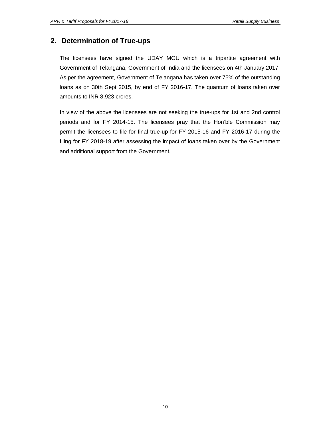# **2. Determination of True-ups**

The licensees have signed the UDAY MOU which is a tripartite agreement with Government of Telangana, Government of India and the licensees on 4th January 2017. As per the agreement, Government of Telangana has taken over 75% of the outstanding loans as on 30th Sept 2015, by end of FY 2016-17. The quantum of loans taken over amounts to INR 8,923 crores.

In view of the above the licensees are not seeking the true-ups for 1st and 2nd control periods and for FY 2014-15. The licensees pray that the Hon'ble Commission may permit the licensees to file for final true-up for FY 2015-16 and FY 2016-17 during the filing for FY 2018-19 after assessing the impact of loans taken over by the Government and additional support from the Government.